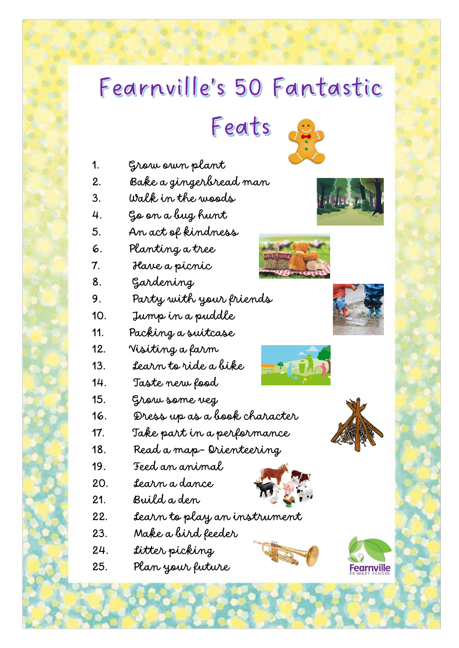## Fearnville's 50 Fantastic

Feats



- 1. Grow own plant
- 2. Bake a gingerbread man
- 3. Walk in the woods
- 4. Go on a bug hunt
- 5. An act of kindness
- 6. Planting a tree
- 7. Have a picnic
- 8. Gardening

9. Party with your friends

- 10. Jump in a puddle
- 11. Packing a suitcase
- 12. Visiting a farm
- 13. Learn to ride a bike
- 14. Taste new food
- 15. Grow some veg
- 16. Dress up as a book character
- 17. Take part in a performance
- 18. Read a map- Orienteering
- 19. Feed an animal
- 20. Learn a dance





- 22. Learn to play an instrument
- 23. Make a bird feeder
- 24. Litter picking
- 25. Plan your future











**Fearnville**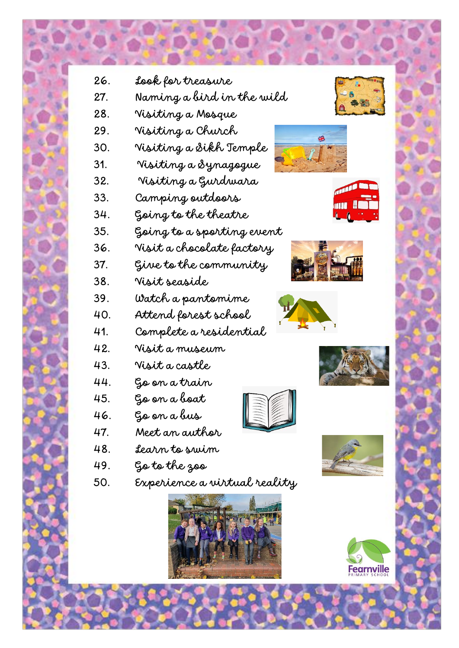



- 
- 35. Going to a sporting event
- 
- 
- 
- 
- 
- 41. Complete a residential
- 42. Visit a museum
- 43. Visit a castle
- 44. Go on a train
- 45. Go on a boat
- 
- 
- -
-